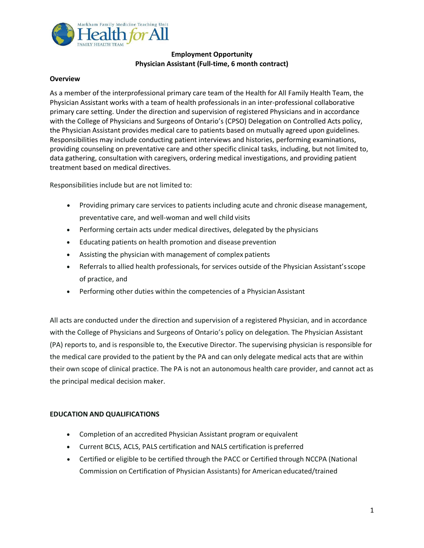

# **Employment Opportunity Physician Assistant (Full-time, 6 month contract)**

#### **Overview**

As a member of the interprofessional primary care team of the Health for All Family Health Team, the Physician Assistant works with a team of health professionals in an inter-professional collaborative primary care setting. Under the direction and supervision of registered Physicians and in accordance with the College of Physicians and Surgeons of Ontario's (CPSO) Delegation on Controlled Acts policy, the Physician Assistant provides medical care to patients based on mutually agreed upon guidelines. Responsibilities may include conducting patient interviews and histories, performing examinations, providing counseling on preventative care and other specific clinical tasks, including, but not limited to, data gathering, consultation with caregivers, ordering medical investigations, and providing patient treatment based on medical directives.

Responsibilities include but are not limited to:

- Providing primary care services to patients including acute and chronic disease management, preventative care, and well-woman and well child visits
- Performing certain acts under medical directives, delegated by the physicians
- Educating patients on health promotion and disease prevention
- Assisting the physician with management of complex patients
- Referrals to allied health professionals, for services outside of the Physician Assistant'sscope of practice, and
- Performing other duties within the competencies of a Physician Assistant

All acts are conducted under the direction and supervision of a registered Physician, and in accordance with the College of Physicians and Surgeons of Ontario's policy on delegation. The Physician Assistant (PA) reports to, and is responsible to, the Executive Director. The supervising physician is responsible for the medical care provided to the patient by the PA and can only delegate medical acts that are within their own scope of clinical practice. The PA is not an autonomous health care provider, and cannot act as the principal medical decision maker.

## **EDUCATION AND QUALIFICATIONS**

- Completion of an accredited Physician Assistant program or equivalent
- Current BCLS, ACLS, PALS certification and NALS certification is preferred
- Certified or eligible to be certified through the PACC or Certified through NCCPA (National Commission on Certification of Physician Assistants) for American educated/trained